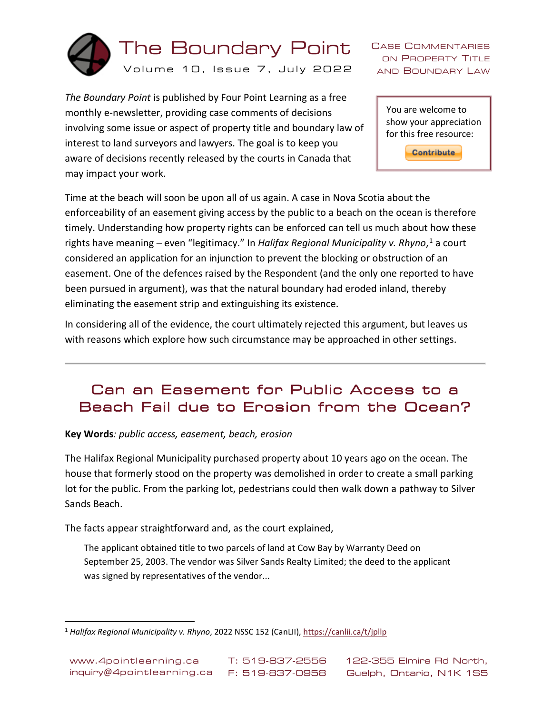

CASE COMMENTARIES ON PROPERTY TITLE AND BOUNDARY LAW

*The Boundary Point* is published by Four Point Learning as a free monthly e-newsletter, providing case comments of decisions involving some issue or aspect of property title and boundary law of interest to land surveyors and lawyers. The goal is to keep you aware of decisions recently released by the courts in Canada that may impact your work.

You are welcome to show your appreciation for this free resource:

**Contribute** 

Time at the beach will soon be upon all of us again. A case in Nova Scotia about the enforceability of an easement giving access by the public to a beach on the ocean is therefore timely. Understanding how property rights can be enforced can tell us much about how these rights have meaning – even "legitimacy." In *Halifax Regional Municipality v. Rhyno*, [1](#page-0-0) a court considered an application for an injunction to prevent the blocking or obstruction of an easement. One of the defences raised by the Respondent (and the only one reported to have been pursued in argument), was that the natural boundary had eroded inland, thereby eliminating the easement strip and extinguishing its existence.

In considering all of the evidence, the court ultimately rejected this argument, but leaves us with reasons which explore how such circumstance may be approached in other settings.

# Can an Easement for Public Access to a Beach Fail due to Erosion from the Ocean?

### **Key Words***: public access, easement, beach, erosion*

The Halifax Regional Municipality purchased property about 10 years ago on the ocean. The house that formerly stood on the property was demolished in order to create a small parking lot for the public. From the parking lot, pedestrians could then walk down a pathway to Silver Sands Beach.

The facts appear straightforward and, as the court explained,

The applicant obtained title to two parcels of land at Cow Bay by Warranty Deed on September 25, 2003. The vendor was Silver Sands Realty Limited; the deed to the applicant was signed by representatives of the vendor...

<span id="page-0-0"></span> <sup>1</sup> *Halifax Regional Municipality v. Rhyno*, 2022 NSSC 152 (CanLII)[, https://canlii.ca/t/jpllp](https://canlii.ca/t/jpllp)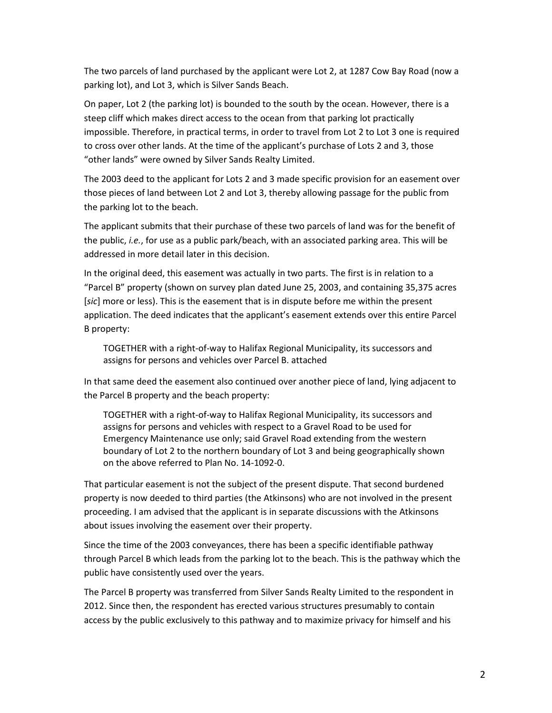The two parcels of land purchased by the applicant were Lot 2, at 1287 Cow Bay Road (now a parking lot), and Lot 3, which is Silver Sands Beach.

On paper, Lot 2 (the parking lot) is bounded to the south by the ocean. However, there is a steep cliff which makes direct access to the ocean from that parking lot practically impossible. Therefore, in practical terms, in order to travel from Lot 2 to Lot 3 one is required to cross over other lands. At the time of the applicant's purchase of Lots 2 and 3, those "other lands" were owned by Silver Sands Realty Limited.

The 2003 deed to the applicant for Lots 2 and 3 made specific provision for an easement over those pieces of land between Lot 2 and Lot 3, thereby allowing passage for the public from the parking lot to the beach.

The applicant submits that their purchase of these two parcels of land was for the benefit of the public, *i.e.*, for use as a public park/beach, with an associated parking area. This will be addressed in more detail later in this decision.

In the original deed, this easement was actually in two parts. The first is in relation to a "Parcel B" property (shown on survey plan dated June 25, 2003, and containing 35,375 acres [*sic*] more or less). This is the easement that is in dispute before me within the present application. The deed indicates that the applicant's easement extends over this entire Parcel B property:

TOGETHER with a right-of-way to Halifax Regional Municipality, its successors and assigns for persons and vehicles over Parcel B. attached

In that same deed the easement also continued over another piece of land, lying adjacent to the Parcel B property and the beach property:

TOGETHER with a right-of-way to Halifax Regional Municipality, its successors and assigns for persons and vehicles with respect to a Gravel Road to be used for Emergency Maintenance use only; said Gravel Road extending from the western boundary of Lot 2 to the northern boundary of Lot 3 and being geographically shown on the above referred to Plan No. 14-1092-0.

That particular easement is not the subject of the present dispute. That second burdened property is now deeded to third parties (the Atkinsons) who are not involved in the present proceeding. I am advised that the applicant is in separate discussions with the Atkinsons about issues involving the easement over their property.

Since the time of the 2003 conveyances, there has been a specific identifiable pathway through Parcel B which leads from the parking lot to the beach. This is the pathway which the public have consistently used over the years.

The Parcel B property was transferred from Silver Sands Realty Limited to the respondent in 2012. Since then, the respondent has erected various structures presumably to contain access by the public exclusively to this pathway and to maximize privacy for himself and his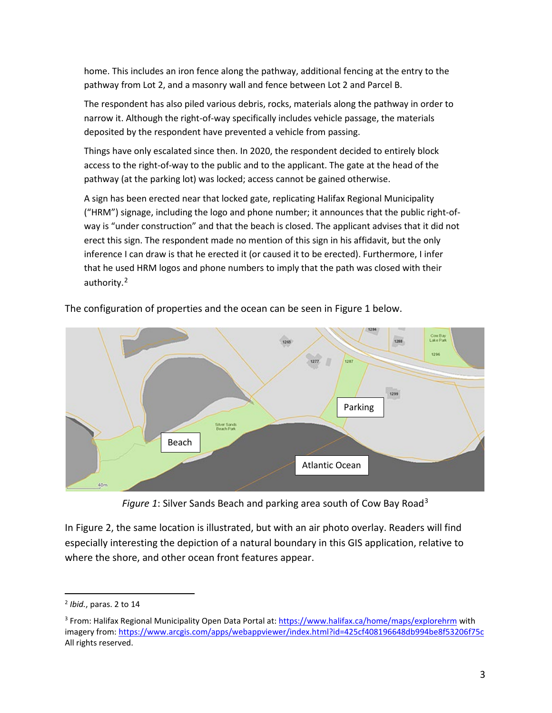home. This includes an iron fence along the pathway, additional fencing at the entry to the pathway from Lot 2, and a masonry wall and fence between Lot 2 and Parcel B.

The respondent has also piled various debris, rocks, materials along the pathway in order to narrow it. Although the right-of-way specifically includes vehicle passage, the materials deposited by the respondent have prevented a vehicle from passing.

Things have only escalated since then. In 2020, the respondent decided to entirely block access to the right-of-way to the public and to the applicant. The gate at the head of the pathway (at the parking lot) was locked; access cannot be gained otherwise.

A sign has been erected near that locked gate, replicating Halifax Regional Municipality ("HRM") signage, including the logo and phone number; it announces that the public right-ofway is "under construction" and that the beach is closed. The applicant advises that it did not erect this sign. The respondent made no mention of this sign in his affidavit, but the only inference I can draw is that he erected it (or caused it to be erected). Furthermore, I infer that he used HRM logos and phone numbers to imply that the path was closed with their authority.[2](#page-2-0)



The configuration of properties and the ocean can be seen in Figure 1 below.

*Figure 1*: Silver Sands Beach and parking area south of Cow Bay Road[3](#page-2-1)

In Figure 2, the same location is illustrated, but with an air photo overlay. Readers will find especially interesting the depiction of a natural boundary in this GIS application, relative to where the shore, and other ocean front features appear.

<span id="page-2-0"></span> <sup>2</sup> *Ibid.*, paras. 2 to 14

<span id="page-2-1"></span><sup>3</sup> From: Halifax Regional Municipality Open Data Portal at: <https://www.halifax.ca/home/maps/explorehrm> with imagery from: <https://www.arcgis.com/apps/webappviewer/index.html?id=425cf408196648db994be8f53206f75c> All rights reserved.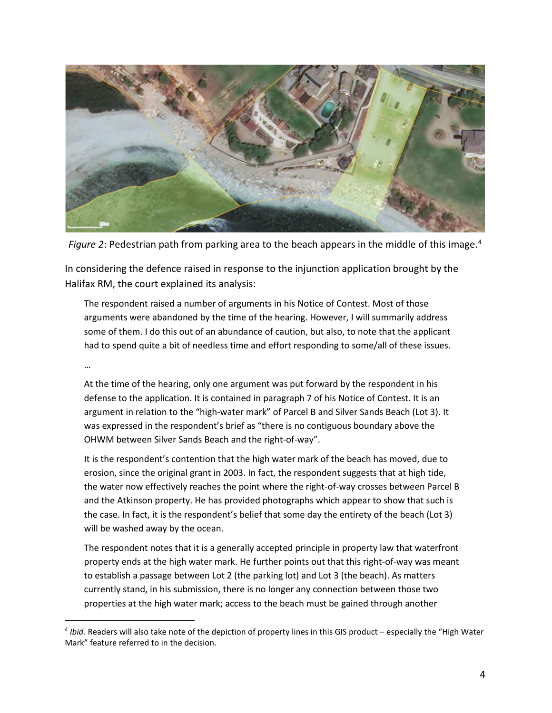

*Figure 2*: Pedestrian path from parking area to the beach appears in the middle of this image.[4](#page-3-0)

In considering the defence raised in response to the injunction application brought by the Halifax RM, the court explained its analysis:

The respondent raised a number of arguments in his Notice of Contest. Most of those arguments were abandoned by the time of the hearing. However, I will summarily address some of them. I do this out of an abundance of caution, but also, to note that the applicant had to spend quite a bit of needless time and effort responding to some/all of these issues.

…

At the time of the hearing, only one argument was put forward by the respondent in his defense to the application. It is contained in paragraph 7 of his Notice of Contest. It is an argument in relation to the "high-water mark" of Parcel B and Silver Sands Beach (Lot 3). It was expressed in the respondent's brief as "there is no contiguous boundary above the OHWM between Silver Sands Beach and the right-of-way".

It is the respondent's contention that the high water mark of the beach has moved, due to erosion, since the original grant in 2003. In fact, the respondent suggests that at high tide, the water now effectively reaches the point where the right-of-way crosses between Parcel B and the Atkinson property. He has provided photographs which appear to show that such is the case. In fact, it is the respondent's belief that some day the entirety of the beach (Lot 3) will be washed away by the ocean.

The respondent notes that it is a generally accepted principle in property law that waterfront property ends at the high water mark. He further points out that this right-of-way was meant to establish a passage between Lot 2 (the parking lot) and Lot 3 (the beach). As matters currently stand, in his submission, there is no longer any connection between those two properties at the high water mark; access to the beach must be gained through another

<span id="page-3-0"></span> <sup>4</sup> *Ibid.* Readers will also take note of the depiction of property lines in this GIS product – especially the "High Water Mark" feature referred to in the decision.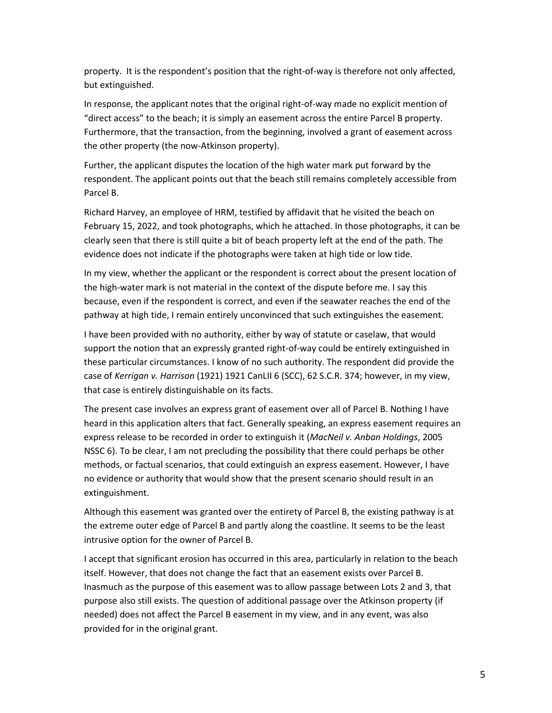property. It is the respondent's position that the right-of-way is therefore not only affected, but extinguished.

In response, the applicant notes that the original right-of-way made no explicit mention of "direct access" to the beach; it is simply an easement across the entire Parcel B property. Furthermore, that the transaction, from the beginning, involved a grant of easement across the other property (the now-Atkinson property).

Further, the applicant disputes the location of the high water mark put forward by the respondent. The applicant points out that the beach still remains completely accessible from Parcel B.

Richard Harvey, an employee of HRM, testified by affidavit that he visited the beach on February 15, 2022, and took photographs, which he attached. In those photographs, it can be clearly seen that there is still quite a bit of beach property left at the end of the path. The evidence does not indicate if the photographs were taken at high tide or low tide.

In my view, whether the applicant or the respondent is correct about the present location of the high-water mark is not material in the context of the dispute before me. I say this because, even if the respondent is correct, and even if the seawater reaches the end of the pathway at high tide, I remain entirely unconvinced that such extinguishes the easement.

I have been provided with no authority, either by way of statute or caselaw, that would support the notion that an expressly granted right-of-way could be entirely extinguished in these particular circumstances. I know of no such authority. The respondent did provide the case of *Kerrigan v. Harrison* (1921) 1921 CanLII 6 (SCC), 62 S.C.R. 374; however, in my view, that case is entirely distinguishable on its facts.

The present case involves an express grant of easement over all of Parcel B. Nothing I have heard in this application alters that fact. Generally speaking, an express easement requires an express release to be recorded in order to extinguish it (*MacNeil v. Anban Holdings*, 2005 NSSC 6). To be clear, I am not precluding the possibility that there could perhaps be other methods, or factual scenarios, that could extinguish an express easement. However, I have no evidence or authority that would show that the present scenario should result in an extinguishment.

Although this easement was granted over the entirety of Parcel B, the existing pathway is at the extreme outer edge of Parcel B and partly along the coastline. It seems to be the least intrusive option for the owner of Parcel B.

I accept that significant erosion has occurred in this area, particularly in relation to the beach itself. However, that does not change the fact that an easement exists over Parcel B. Inasmuch as the purpose of this easement was to allow passage between Lots 2 and 3, that purpose also still exists. The question of additional passage over the Atkinson property (if needed) does not affect the Parcel B easement in my view, and in any event, was also provided for in the original grant.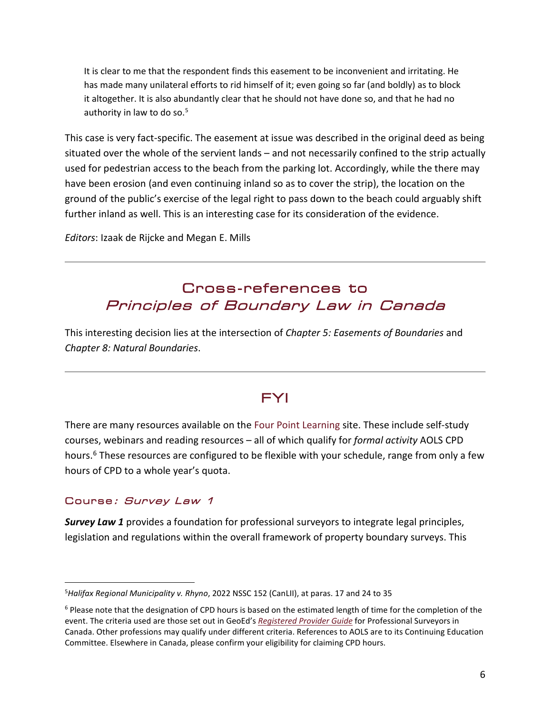It is clear to me that the respondent finds this easement to be inconvenient and irritating. He has made many unilateral efforts to rid himself of it; even going so far (and boldly) as to block it altogether. It is also abundantly clear that he should not have done so, and that he had no authority in law to do so.<sup>5</sup>

This case is very fact-specific. The easement at issue was described in the original deed as being situated over the whole of the servient lands – and not necessarily confined to the strip actually used for pedestrian access to the beach from the parking lot. Accordingly, while the there may have been erosion (and even continuing inland so as to cover the strip), the location on the ground of the public's exercise of the legal right to pass down to the beach could arguably shift further inland as well. This is an interesting case for its consideration of the evidence.

*Editors*: Izaak de Rijcke and Megan E. Mills

# Cross-references to Principles of Boundary Law in Canada

This interesting decision lies at the intersection of *Chapter 5: Easements of Boundaries* and *Chapter 8: Natural Boundaries*.

## FYI

There are many resources available on the Four Point Learning site. These include self-study courses, webinars and reading resources – all of which qualify for *formal activity* AOLS CPD hours.<sup>[6](#page-5-1)</sup> These resources are configured to be flexible with your schedule, range from only a few hours of CPD to a whole year's quota.

### Course: Survey Law 1

*Survey Law 1* provides a foundation for professional surveyors to integrate legal principles, legislation and regulations within the overall framework of property boundary surveys. This

<span id="page-5-0"></span><sup>—&</sup>lt;br>5 *Halifax Regional Municipality v. Rhyno*, 2022 NSSC 152 (CanLII), at paras. 17 and 24 to 35

<span id="page-5-1"></span><sup>&</sup>lt;sup>6</sup> Please note that the designation of CPD hours is based on the estimated length of time for the completion of the event. The criteria used are those set out in GeoEd's *[Registered Provider Guide](http://www.geoed.ca/files/GeoEd%20Canada%20Registered%20Providers%20Guide.pdf)* for Professional Surveyors in Canada. Other professions may qualify under different criteria. References to AOLS are to its Continuing Education Committee. Elsewhere in Canada, please confirm your eligibility for claiming CPD hours.